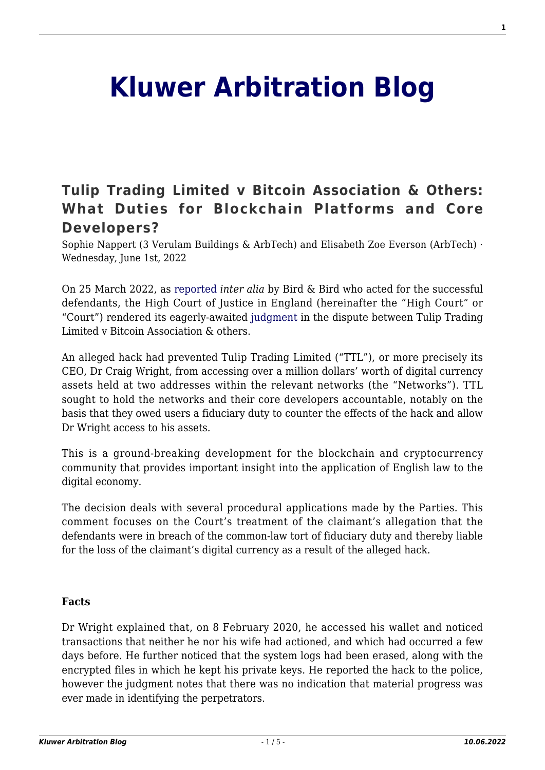# **[Kluwer Arbitration Blog](http://arbitrationblog.kluwerarbitration.com/)**

# **[Tulip Trading Limited v Bitcoin Association & Others:](http://arbitrationblog.kluwerarbitration.com/2022/06/01/tulip-trading-limited-v-bitcoin-association-others-what-duties-for-blockchain-platforms-and-core-developers/) [What Duties for Blockchain Platforms and Core](http://arbitrationblog.kluwerarbitration.com/2022/06/01/tulip-trading-limited-v-bitcoin-association-others-what-duties-for-blockchain-platforms-and-core-developers/) [Developers?](http://arbitrationblog.kluwerarbitration.com/2022/06/01/tulip-trading-limited-v-bitcoin-association-others-what-duties-for-blockchain-platforms-and-core-developers/)**

Sophie Nappert (3 Verulam Buildings & ArbTech) and Elisabeth Zoe Everson (ArbTech) · Wednesday, June 1st, 2022

On 25 March 2022, as [reported](https://www.twobirds.com/en/news-and-deals/2022/global/bird-successfully-advises-on-tulip-trading-ltd-v-bitcoin-association-for-bsv-and-others-judgment) *inter alia* by Bird & Bird who acted for the successful defendants, the High Court of Justice in England (hereinafter the "High Court" or "Court") rendered its eagerly-awaited [judgment](https://www.bailii.org/ew/cases/EWHC/Ch/2022/667.html) in the dispute between Tulip Trading Limited v Bitcoin Association & others.

An alleged hack had prevented Tulip Trading Limited ("TTL"), or more precisely its CEO, Dr Craig Wright, from accessing over a million dollars' worth of digital currency assets held at two addresses within the relevant networks (the "Networks"). TTL sought to hold the networks and their core developers accountable, notably on the basis that they owed users a fiduciary duty to counter the effects of the hack and allow Dr Wright access to his assets.

This is a ground-breaking development for the blockchain and cryptocurrency community that provides important insight into the application of English law to the digital economy.

The decision deals with several procedural applications made by the Parties. This comment focuses on the Court's treatment of the claimant's allegation that the defendants were in breach of the common-law tort of fiduciary duty and thereby liable for the loss of the claimant's digital currency as a result of the alleged hack.

#### **Facts**

Dr Wright explained that, on 8 February 2020, he accessed his wallet and noticed transactions that neither he nor his wife had actioned, and which had occurred a few days before. He further noticed that the system logs had been erased, along with the encrypted files in which he kept his private keys. He reported the hack to the police, however the judgment notes that there was no indication that material progress was ever made in identifying the perpetrators.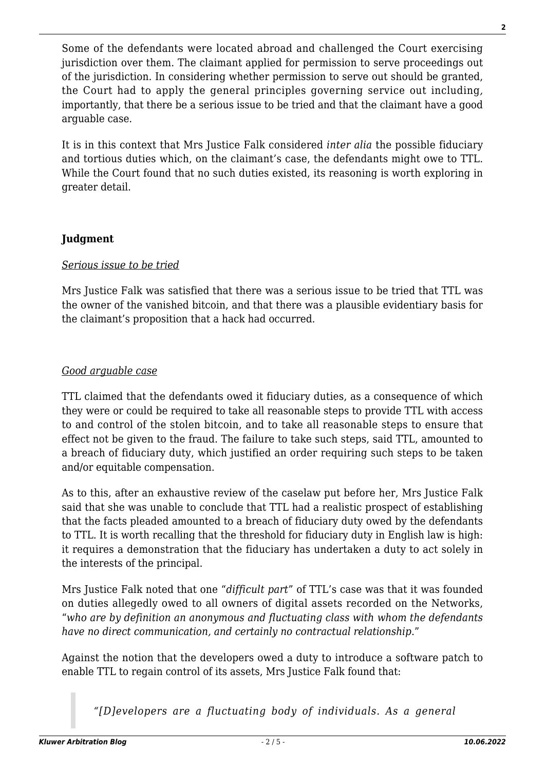Some of the defendants were located abroad and challenged the Court exercising jurisdiction over them. The claimant applied for permission to serve proceedings out of the jurisdiction. In considering whether permission to serve out should be granted, the Court had to apply the general principles governing service out including*,* importantly, that there be a serious issue to be tried and that the claimant have a good arguable case.

It is in this context that Mrs Justice Falk considered *inter alia* the possible fiduciary and tortious duties which, on the claimant's case, the defendants might owe to TTL. While the Court found that no such duties existed, its reasoning is worth exploring in greater detail.

### **Judgment**

#### *Serious issue to be tried*

Mrs Justice Falk was satisfied that there was a serious issue to be tried that TTL was the owner of the vanished bitcoin, and that there was a plausible evidentiary basis for the claimant's proposition that a hack had occurred.

#### *Good arguable case*

TTL claimed that the defendants owed it fiduciary duties, as a consequence of which they were or could be required to take all reasonable steps to provide TTL with access to and control of the stolen bitcoin, and to take all reasonable steps to ensure that effect not be given to the fraud. The failure to take such steps, said TTL, amounted to a breach of fiduciary duty, which justified an order requiring such steps to be taken and/or equitable compensation.

As to this, after an exhaustive review of the caselaw put before her, Mrs Justice Falk said that she was unable to conclude that TTL had a realistic prospect of establishing that the facts pleaded amounted to a breach of fiduciary duty owed by the defendants to TTL. It is worth recalling that the threshold for fiduciary duty in English law is high: it requires a demonstration that the fiduciary has undertaken a duty to act solely in the interests of the principal.

Mrs Justice Falk noted that one "*difficult part*" of TTL's case was that it was founded on duties allegedly owed to all owners of digital assets recorded on the Networks, "*who are by definition an anonymous and fluctuating class with whom the defendants have no direct communication, and certainly no contractual relationship*."

Against the notion that the developers owed a duty to introduce a software patch to enable TTL to regain control of its assets, Mrs Justice Falk found that:

*"[D]evelopers are a fluctuating body of individuals. As a general*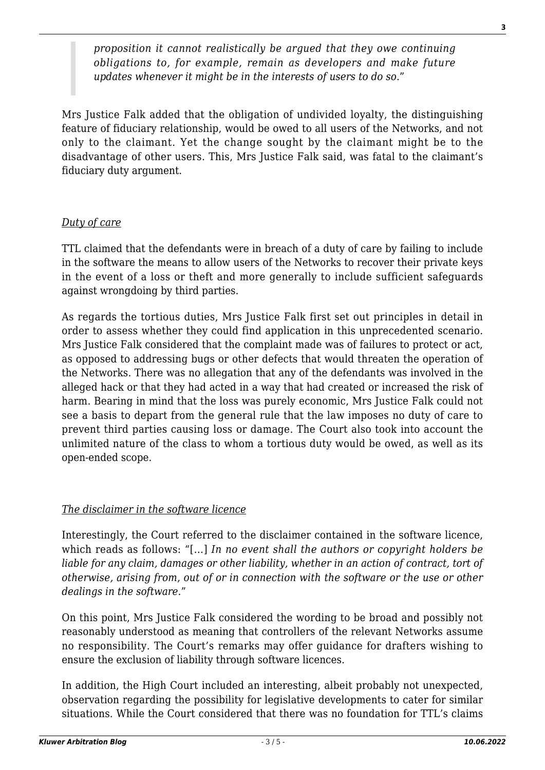*proposition it cannot realistically be argued that they owe continuing obligations to, for example, remain as developers and make future updates whenever it might be in the interests of users to do so*."

Mrs Justice Falk added that the obligation of undivided loyalty, the distinguishing feature of fiduciary relationship, would be owed to all users of the Networks, and not only to the claimant. Yet the change sought by the claimant might be to the disadvantage of other users. This, Mrs Justice Falk said, was fatal to the claimant's fiduciary duty argument.

## *Duty of care*

TTL claimed that the defendants were in breach of a duty of care by failing to include in the software the means to allow users of the Networks to recover their private keys in the event of a loss or theft and more generally to include sufficient safeguards against wrongdoing by third parties.

As regards the tortious duties, Mrs Justice Falk first set out principles in detail in order to assess whether they could find application in this unprecedented scenario. Mrs Justice Falk considered that the complaint made was of failures to protect or act, as opposed to addressing bugs or other defects that would threaten the operation of the Networks. There was no allegation that any of the defendants was involved in the alleged hack or that they had acted in a way that had created or increased the risk of harm. Bearing in mind that the loss was purely economic, Mrs Justice Falk could not see a basis to depart from the general rule that the law imposes no duty of care to prevent third parties causing loss or damage. The Court also took into account the unlimited nature of the class to whom a tortious duty would be owed, as well as its open-ended scope.

#### *The disclaimer in the software licence*

Interestingly, the Court referred to the disclaimer contained in the software licence, which reads as follows: "[…] *In no event shall the authors or copyright holders be liable for any claim, damages or other liability, whether in an action of contract, tort of otherwise, arising from, out of or in connection with the software or the use or other dealings in the software*."

On this point, Mrs Justice Falk considered the wording to be broad and possibly not reasonably understood as meaning that controllers of the relevant Networks assume no responsibility. The Court's remarks may offer guidance for drafters wishing to ensure the exclusion of liability through software licences.

In addition, the High Court included an interesting, albeit probably not unexpected, observation regarding the possibility for legislative developments to cater for similar situations. While the Court considered that there was no foundation for TTL's claims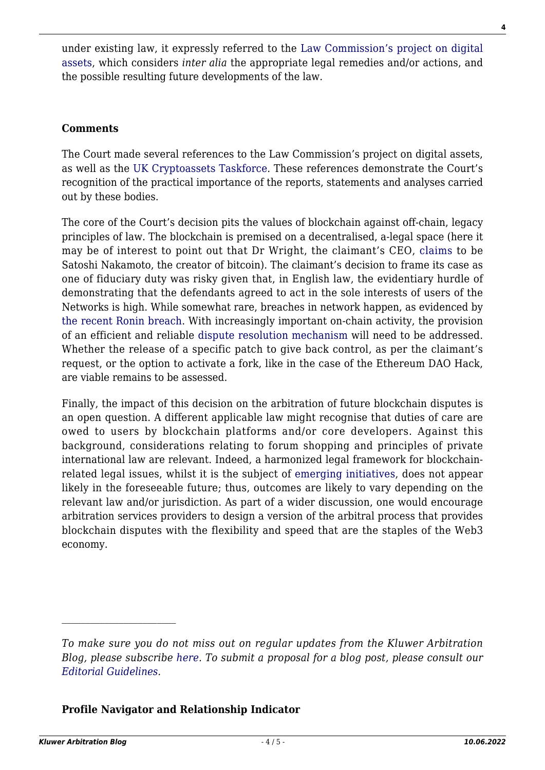under existing law, it expressly referred to the [Law Commission's project on digital](https://www.lawcom.gov.uk/project/digital-assets/) [assets,](https://www.lawcom.gov.uk/project/digital-assets/) which considers *inter alia* the appropriate legal remedies and/or actions, and the possible resulting future developments of the law.

#### **Comments**

The Court made several references to the Law Commission's project on digital assets, as well as the [UK Cryptoassets Taskforce](https://www.gov.uk/government/publications/cryptoassets-taskforce). These references demonstrate the Court's recognition of the practical importance of the reports, statements and analyses carried out by these bodies.

The core of the Court's decision pits the values of blockchain against off-chain, legacy principles of law. The blockchain is premised on a decentralised, a-legal space (here it may be of interest to point out that Dr Wright, the claimant's CEO, [claims](https://www.theguardian.com/technology/2021/dec/11/satoshi-nakamoto-craig-wright-and-a-bitcoin-mystery-in-america) to be Satoshi Nakamoto, the creator of bitcoin). The claimant's decision to frame its case as one of fiduciary duty was risky given that, in English law, the evidentiary hurdle of demonstrating that the defendants agreed to act in the sole interests of users of the Networks is high. While somewhat rare, breaches in network happen, as evidenced by [the recent Ronin breach.](https://edition.cnn.com/2022/03/29/tech/axie-infinity-ronin-hack/index.html) With increasingly important on-chain activity, the provision of an efficient and reliable [dispute resolution mechanism](http://arbitrationblog.kluwerarbitration.com/2018/03/29/online-dispute-resolution-future-alternative-dispute-resolution/) will need to be addressed. Whether the release of a specific patch to give back control, as per the claimant's request, or the option to activate a fork, like in the case of the Ethereum DAO Hack, are viable remains to be assessed.

Finally, the impact of this decision on the arbitration of future blockchain disputes is an open question. A different applicable law might recognise that duties of care are owed to users by blockchain platforms and/or core developers. Against this background, considerations relating to forum shopping and principles of private international law are relevant. Indeed, a harmonized legal framework for blockchainrelated legal issues, whilst it is the subject of [emerging initiatives,](https://coala.global/daomodellaw/) does not appear likely in the foreseeable future; thus, outcomes are likely to vary depending on the relevant law and/or jurisdiction. As part of a wider discussion, one would encourage arbitration services providers to design a version of the arbitral process that provides blockchain disputes with the flexibility and speed that are the staples of the Web3 economy.

#### **Profile Navigator and Relationship Indicator**

*To make sure you do not miss out on regular updates from the Kluwer Arbitration Blog, please subscribe [here](http://arbitrationblog.kluwerarbitration.com/newsletter/). To submit a proposal for a blog post, please consult our [Editorial Guidelines.](http://arbitrationblog.kluwerarbitration.com/editorial-guidelines/)*